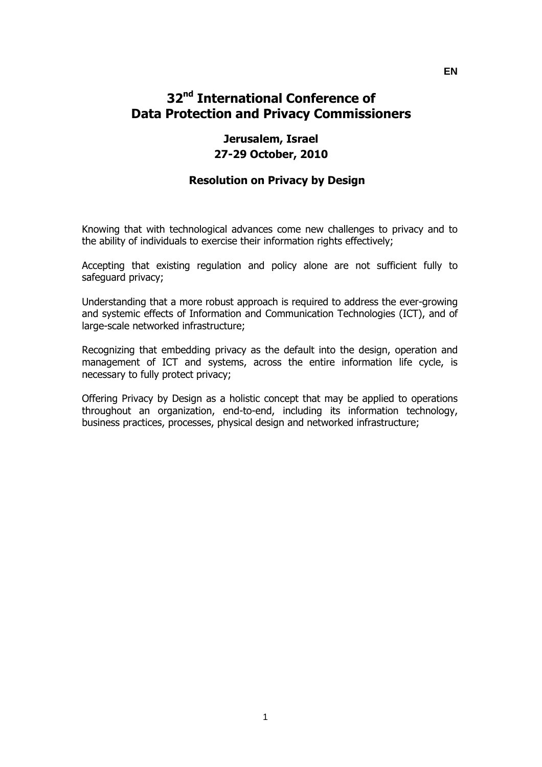# **32nd International Conference of Data Protection and Privacy Commissioners**

## **Jerusalem, Israel 27-29 October, 2010**

## **Resolution on Privacy by Design**

Knowing that with technological advances come new challenges to privacy and to the ability of individuals to exercise their information rights effectively;

Accepting that existing regulation and policy alone are not sufficient fully to safeguard privacy;

Understanding that a more robust approach is required to address the ever-growing and systemic effects of Information and Communication Technologies (ICT), and of large-scale networked infrastructure;

Recognizing that embedding privacy as the default into the design, operation and management of ICT and systems, across the entire information life cycle, is necessary to fully protect privacy;

Offering Privacy by Design as a holistic concept that may be applied to operations throughout an organization, end-to-end, including its information technology, business practices, processes, physical design and networked infrastructure;